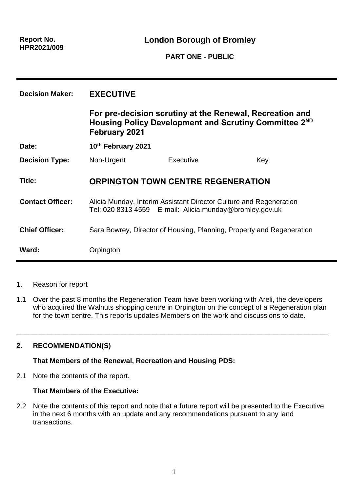**London Borough of Bromley**

**PART ONE - PUBLIC**

| <b>Decision Maker:</b>  | <b>EXECUTIVE</b>                                                                                                                                      |           |     |
|-------------------------|-------------------------------------------------------------------------------------------------------------------------------------------------------|-----------|-----|
|                         | For pre-decision scrutiny at the Renewal, Recreation and<br>Housing Policy Development and Scrutiny Committee 2 <sup>ND</sup><br><b>February 2021</b> |           |     |
| Date:                   | 10th February 2021                                                                                                                                    |           |     |
| <b>Decision Type:</b>   | Non-Urgent                                                                                                                                            | Executive | Key |
| Title:                  | <b>ORPINGTON TOWN CENTRE REGENERATION</b>                                                                                                             |           |     |
| <b>Contact Officer:</b> | Alicia Munday, Interim Assistant Director Culture and Regeneration<br>Tel: 020 8313 4559 E-mail: Alicia.munday@bromley.gov.uk                         |           |     |
| <b>Chief Officer:</b>   | Sara Bowrey, Director of Housing, Planning, Property and Regeneration                                                                                 |           |     |
| Ward:                   | Orpington                                                                                                                                             |           |     |

### 1. Reason for report

1.1 Over the past 8 months the Regeneration Team have been working with Areli, the developers who acquired the Walnuts shopping centre in Orpington on the concept of a Regeneration plan for the town centre. This reports updates Members on the work and discussions to date.

\_\_\_\_\_\_\_\_\_\_\_\_\_\_\_\_\_\_\_\_\_\_\_\_\_\_\_\_\_\_\_\_\_\_\_\_\_\_\_\_\_\_\_\_\_\_\_\_\_\_\_\_\_\_\_\_\_\_\_\_\_\_\_\_\_\_\_\_\_\_\_\_\_\_\_\_\_\_\_\_

# **2. RECOMMENDATION(S)**

#### **That Members of the Renewal, Recreation and Housing PDS:**

2.1 Note the contents of the report.

#### **That Members of the Executive:**

2.2 Note the contents of this report and note that a future report will be presented to the Executive in the next 6 months with an update and any recommendations pursuant to any land transactions.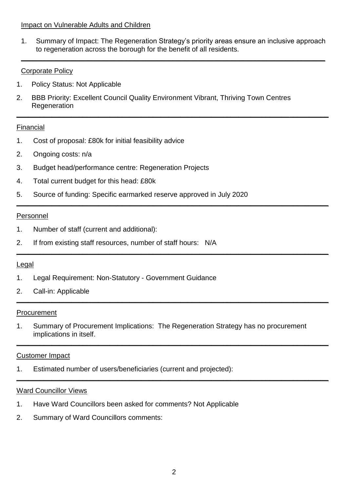#### Impact on Vulnerable Adults and Children

1. Summary of Impact: The Regeneration Strategy's priority areas ensure an inclusive approach to regeneration across the borough for the benefit of all residents.

**\_\_\_\_\_\_\_\_\_\_\_\_\_\_\_\_\_\_\_\_\_\_\_\_\_\_\_\_\_\_\_\_\_\_\_\_\_\_\_\_\_\_\_\_\_\_\_\_\_\_\_\_\_\_\_\_\_\_\_\_\_\_\_\_\_\_\_\_\_\_\_\_\_\_\_\_\_\_**

**\_\_\_\_\_\_\_\_\_\_\_\_\_\_\_\_\_\_\_\_\_\_\_\_\_\_\_\_\_\_\_\_\_\_\_\_\_\_\_\_\_\_\_\_\_\_\_\_\_\_\_\_\_\_\_\_\_\_\_\_\_\_\_\_\_\_\_\_\_\_\_\_\_\_\_\_\_\_\_\_**

**\_\_\_\_\_\_\_\_\_\_\_\_\_\_\_\_\_\_\_\_\_\_\_\_\_\_\_\_\_\_\_\_\_\_\_\_\_\_\_\_\_\_\_\_\_\_\_\_\_\_\_\_\_\_\_\_\_\_\_\_\_\_\_\_\_\_\_\_\_\_\_\_\_\_\_\_\_\_\_\_**

**\_\_\_\_\_\_\_\_\_\_\_\_\_\_\_\_\_\_\_\_\_\_\_\_\_\_\_\_\_\_\_\_\_\_\_\_\_\_\_\_\_\_\_\_\_\_\_\_\_\_\_\_\_\_\_\_\_\_\_\_\_\_\_\_\_\_\_\_\_\_\_\_\_\_\_\_\_\_\_\_**

**\_\_\_\_\_\_\_\_\_\_\_\_\_\_\_\_\_\_\_\_\_\_\_\_\_\_\_\_\_\_\_\_\_\_\_\_\_\_\_\_\_\_\_\_\_\_\_\_\_\_\_\_\_\_\_\_\_\_\_\_\_\_\_\_\_\_\_\_\_\_\_\_\_\_\_\_\_\_\_\_**

**\_\_\_\_\_\_\_\_\_\_\_\_\_\_\_\_\_\_\_\_\_\_\_\_\_\_\_\_\_\_\_\_\_\_\_\_\_\_\_\_\_\_\_\_\_\_\_\_\_\_\_\_\_\_\_\_\_\_\_\_\_\_\_\_\_\_\_\_\_\_\_\_\_\_\_\_\_\_\_\_**

**\_\_\_\_\_\_\_\_\_\_\_\_\_\_\_\_\_\_\_\_\_\_\_\_\_\_\_\_\_\_\_\_\_\_\_\_\_\_\_\_\_\_\_\_\_\_\_\_\_\_\_\_\_\_\_\_\_\_\_\_\_\_\_\_\_\_\_\_\_\_\_\_\_\_\_\_\_\_\_\_**

### Corporate Policy

- 1. Policy Status: Not Applicable
- 2. BBB Priority: Excellent Council Quality Environment Vibrant, Thriving Town Centres **Regeneration**

### Financial

- 1. Cost of proposal: £80k for initial feasibility advice
- 2. Ongoing costs: n/a
- 3. Budget head/performance centre: Regeneration Projects
- 4. Total current budget for this head: £80k
- 5. Source of funding: Specific earmarked reserve approved in July 2020

#### Personnel

- 1. Number of staff (current and additional):
- 2. If from existing staff resources, number of staff hours: N/A

#### Legal

- 1. Legal Requirement: Non-Statutory Government Guidance
- 2. Call-in: Applicable

#### Procurement

1. Summary of Procurement Implications: The Regeneration Strategy has no procurement implications in itself.

#### Customer Impact

1. Estimated number of users/beneficiaries (current and projected):

#### Ward Councillor Views

- 1. Have Ward Councillors been asked for comments? Not Applicable
- 2. Summary of Ward Councillors comments: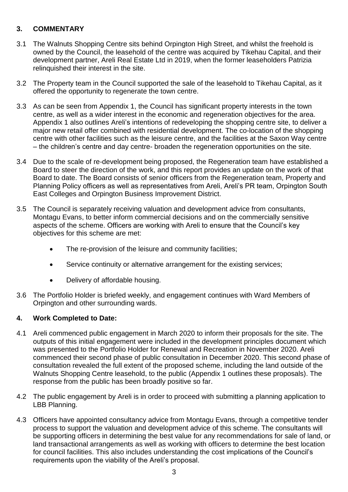# **3. COMMENTARY**

- 3.1 The Walnuts Shopping Centre sits behind Orpington High Street, and whilst the freehold is owned by the Council, the leasehold of the centre was acquired by Tikehau Capital, and their development partner, Areli Real Estate Ltd in 2019, when the former leaseholders Patrizia relinquished their interest in the site.
- 3.2 The Property team in the Council supported the sale of the leasehold to Tikehau Capital, as it offered the opportunity to regenerate the town centre.
- 3.3 As can be seen from Appendix 1, the Council has significant property interests in the town centre, as well as a wider interest in the economic and regeneration objectives for the area. Appendix 1 also outlines Areli's intentions of redeveloping the shopping centre site, to deliver a major new retail offer combined with residential development. The co-location of the shopping centre with other facilities such as the leisure centre, and the facilities at the Saxon Way centre – the children's centre and day centre- broaden the regeneration opportunities on the site.
- 3.4 Due to the scale of re-development being proposed, the Regeneration team have established a Board to steer the direction of the work, and this report provides an update on the work of that Board to date. The Board consists of senior officers from the Regeneration team, Property and Planning Policy officers as well as representatives from Areli, Areli's PR team, Orpington South East Colleges and Orpington Business Improvement District.
- 3.5 The Council is separately receiving valuation and development advice from consultants, Montagu Evans, to better inform commercial decisions and on the commercially sensitive aspects of the scheme. Officers are working with Areli to ensure that the Council's key objectives for this scheme are met:
	- The re-provision of the leisure and community facilities;
	- Service continuity or alternative arrangement for the existing services;
	- Delivery of affordable housing.
- 3.6 The Portfolio Holder is briefed weekly, and engagement continues with Ward Members of Orpington and other surrounding wards.

### **4. Work Completed to Date:**

- 4.1 Areli commenced public engagement in March 2020 to inform their proposals for the site. The outputs of this initial engagement were included in the development principles document which was presented to the Portfolio Holder for Renewal and Recreation in November 2020. Areli commenced their second phase of public consultation in December 2020. This second phase of consultation revealed the full extent of the proposed scheme, including the land outside of the Walnuts Shopping Centre leasehold, to the public (Appendix 1 outlines these proposals). The response from the public has been broadly positive so far.
- 4.2 The public engagement by Areli is in order to proceed with submitting a planning application to LBB Planning.
- 4.3 Officers have appointed consultancy advice from Montagu Evans, through a competitive tender process to support the valuation and development advice of this scheme. The consultants will be supporting officers in determining the best value for any recommendations for sale of land, or land transactional arrangements as well as working with officers to determine the best location for council facilities. This also includes understanding the cost implications of the Council's requirements upon the viability of the Areli's proposal.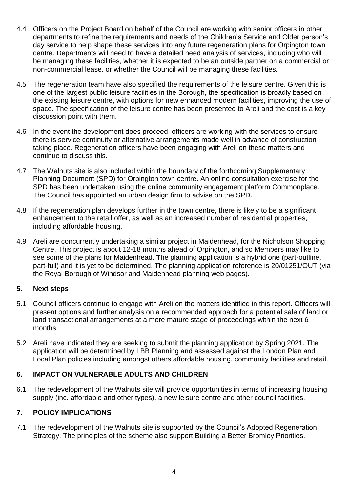- 4.4 Officers on the Project Board on behalf of the Council are working with senior officers in other departments to refine the requirements and needs of the Children's Service and Older person's day service to help shape these services into any future regeneration plans for Orpington town centre. Departments will need to have a detailed need analysis of services, including who will be managing these facilities, whether it is expected to be an outside partner on a commercial or non-commercial lease, or whether the Council will be managing these facilities.
- 4.5 The regeneration team have also specified the requirements of the leisure centre. Given this is one of the largest public leisure facilities in the Borough, the specification is broadly based on the existing leisure centre, with options for new enhanced modern facilities, improving the use of space. The specification of the leisure centre has been presented to Areli and the cost is a key discussion point with them.
- 4.6 In the event the development does proceed, officers are working with the services to ensure there is service continuity or alternative arrangements made well in advance of construction taking place. Regeneration officers have been engaging with Areli on these matters and continue to discuss this.
- 4.7 The Walnuts site is also included within the boundary of the forthcoming Supplementary Planning Document (SPD) for Orpington town centre. An online consultation exercise for the SPD has been undertaken using the online community engagement platform Commonplace. The Council has appointed an urban design firm to advise on the SPD.
- 4.8 If the regeneration plan develops further in the town centre, there is likely to be a significant enhancement to the retail offer, as well as an increased number of residential properties, including affordable housing.
- 4.9 Areli are concurrently undertaking a similar project in Maidenhead, for the Nicholson Shopping Centre. This project is about 12-18 months ahead of Orpington, and so Members may like to see some of the plans for Maidenhead. The planning application is a hybrid one (part-outline, part-full) and it is yet to be determined. The planning application reference is 20/01251/OUT (via the Royal Borough of Windsor and Maidenhead planning web pages).

### **5. Next steps**

- 5.1 Council officers continue to engage with Areli on the matters identified in this report. Officers will present options and further analysis on a recommended approach for a potential sale of land or land transactional arrangements at a more mature stage of proceedings within the next 6 months.
- 5.2 Areli have indicated they are seeking to submit the planning application by Spring 2021. The application will be determined by LBB Planning and assessed against the London Plan and Local Plan policies including amongst others affordable housing, community facilities and retail.

### **6. IMPACT ON VULNERABLE ADULTS AND CHILDREN**

6.1 The redevelopment of the Walnuts site will provide opportunities in terms of increasing housing supply (inc. affordable and other types), a new leisure centre and other council facilities.

### **7. POLICY IMPLICATIONS**

7.1 The redevelopment of the Walnuts site is supported by the Council's Adopted Regeneration Strategy. The principles of the scheme also support Building a Better Bromley Priorities.